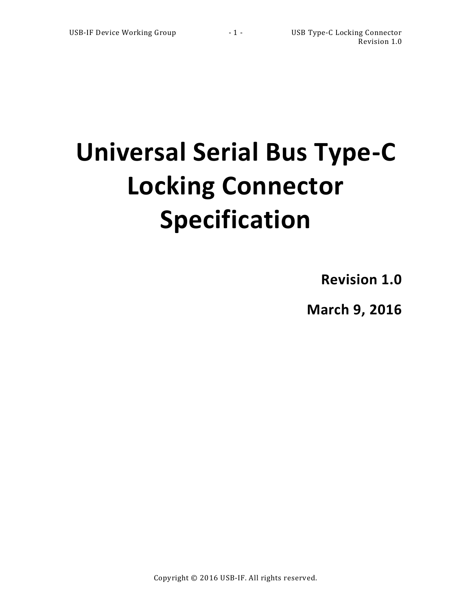# **Universal Serial Bus Type-C Locking Connector Specification**

**Revision 1.0**

**March 9, 2016**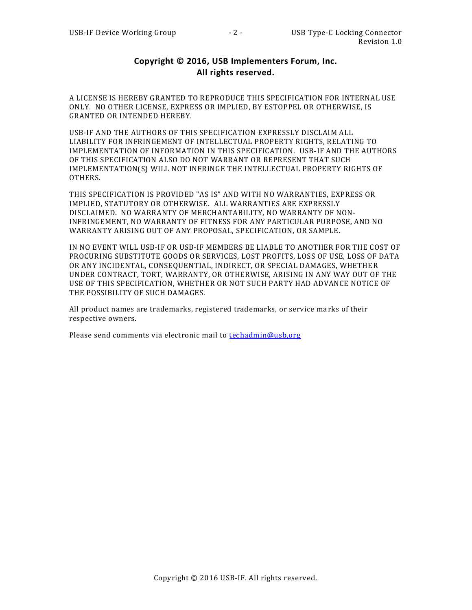# **Copyright © 2016, USB Implementers Forum, Inc. All rights reserved.**

A LICENSE IS HEREBY GRANTED TO REPRODUCE THIS SPECIFICATION FOR INTERNAL USE ONLY. NO OTHER LICENSE, EXPRESS OR IMPLIED, BY ESTOPPEL OR OTHERWISE, IS GRANTED OR INTENDED HEREBY.

USB-IF AND THE AUTHORS OF THIS SPECIFICATION EXPRESSLY DISCLAIM ALL LIABILITY FOR INFRINGEMENT OF INTELLECTUAL PROPERTY RIGHTS, RELATING TO IMPLEMENTATION OF INFORMATION IN THIS SPECIFICATION. USB-IF AND THE AUTHORS OF THIS SPECIFICATION ALSO DO NOT WARRANT OR REPRESENT THAT SUCH IMPLEMENTATION(S) WILL NOT INFRINGE THE INTELLECTUAL PROPERTY RIGHTS OF OTHERS.

THIS SPECIFICATION IS PROVIDED "AS IS" AND WITH NO WARRANTIES, EXPRESS OR IMPLIED, STATUTORY OR OTHERWISE. ALL WARRANTIES ARE EXPRESSLY DISCLAIMED. NO WARRANTY OF MERCHANTABILITY, NO WARRANTY OF NON-INFRINGEMENT, NO WARRANTY OF FITNESS FOR ANY PARTICULAR PURPOSE, AND NO WARRANTY ARISING OUT OF ANY PROPOSAL, SPECIFICATION, OR SAMPLE.

IN NO EVENT WILL USB-IF OR USB-IF MEMBERS BE LIABLE TO ANOTHER FOR THE COST OF PROCURING SUBSTITUTE GOODS OR SERVICES, LOST PROFITS, LOSS OF USE, LOSS OF DATA OR ANY INCIDENTAL, CONSEQUENTIAL, INDIRECT, OR SPECIAL DAMAGES, WHETHER UNDER CONTRACT, TORT, WARRANTY, OR OTHERWISE, ARISING IN ANY WAY OUT OF THE USE OF THIS SPECIFICATION, WHETHER OR NOT SUCH PARTY HAD ADVANCE NOTICE OF THE POSSIBILITY OF SUCH DAMAGES.

All product names are trademarks, registered trademarks, or service ma rks of their respective owners.

Please send comments via electronic mail to **techadmin@usb,org**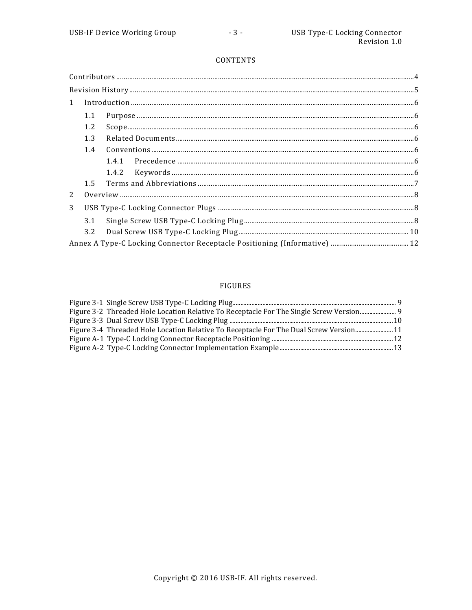## CONTENTS

| $\label{prop:1} \mbox{Introduction} \,\, \ldots \,\, \ldots \,\, \ldots \,\, \ldots \,\, \ldots \,\, \ldots \,\, \ldots \,\, \ldots \,\, \ldots \,\, \ldots \,\, \ldots \,\, \ldots \,\, \ldots \,\, \ldots \,\, \ldots \,\, \ldots \,\, \ldots \,\, \ldots \,\, \ldots \,\, \ldots \,\, \ldots \,\, \ldots \,\, \ldots \,\, \ldots \,\, \ldots \,\, \ldots \,\, \ldots \,\, \ldots \,\, \ldots \,\, \ldots \,\, \ldots \,\, \ldots \,\, \ldots \,\, \ldots \,\,$<br>$\mathbf{1}$ |                                                                                                                                                                                                                                                                                                                                               |  |  |  |  |  |
|-----------------------------------------------------------------------------------------------------------------------------------------------------------------------------------------------------------------------------------------------------------------------------------------------------------------------------------------------------------------------------------------------------------------------------------------------------------------------------------|-----------------------------------------------------------------------------------------------------------------------------------------------------------------------------------------------------------------------------------------------------------------------------------------------------------------------------------------------|--|--|--|--|--|
|                                                                                                                                                                                                                                                                                                                                                                                                                                                                                   | ${\bf Purpose}\dots{\bf 16.} {\bf 6.} {\bf 17.} {\bf 18.} {\bf 19.} {\bf 10.} {\bf 10.} {\bf 11.} {\bf 12.} {\bf 13.} {\bf 14.} {\bf 15.} {\bf 16.} {\bf 17.} {\bf 18.} {\bf 19.} {\bf 19.} {\bf 19.} {\bf 19.} {\bf 19.} {\bf 19.} {\bf 19.} {\bf 19.} {\bf 19.} {\bf 19.} {\bf 19.} {\bf 19.} {\bf 19.} {\bf 19.} {\bf 19.} {\bf 19$<br>1.1 |  |  |  |  |  |
| 1.2                                                                                                                                                                                                                                                                                                                                                                                                                                                                               |                                                                                                                                                                                                                                                                                                                                               |  |  |  |  |  |
| 1.3<br>1.4                                                                                                                                                                                                                                                                                                                                                                                                                                                                        |                                                                                                                                                                                                                                                                                                                                               |  |  |  |  |  |
|                                                                                                                                                                                                                                                                                                                                                                                                                                                                                   |                                                                                                                                                                                                                                                                                                                                               |  |  |  |  |  |
|                                                                                                                                                                                                                                                                                                                                                                                                                                                                                   |                                                                                                                                                                                                                                                                                                                                               |  |  |  |  |  |
|                                                                                                                                                                                                                                                                                                                                                                                                                                                                                   |                                                                                                                                                                                                                                                                                                                                               |  |  |  |  |  |
|                                                                                                                                                                                                                                                                                                                                                                                                                                                                                   | 1.5                                                                                                                                                                                                                                                                                                                                           |  |  |  |  |  |
| 2                                                                                                                                                                                                                                                                                                                                                                                                                                                                                 |                                                                                                                                                                                                                                                                                                                                               |  |  |  |  |  |
| 3                                                                                                                                                                                                                                                                                                                                                                                                                                                                                 |                                                                                                                                                                                                                                                                                                                                               |  |  |  |  |  |
|                                                                                                                                                                                                                                                                                                                                                                                                                                                                                   | 3.1                                                                                                                                                                                                                                                                                                                                           |  |  |  |  |  |
|                                                                                                                                                                                                                                                                                                                                                                                                                                                                                   | 3.2                                                                                                                                                                                                                                                                                                                                           |  |  |  |  |  |
|                                                                                                                                                                                                                                                                                                                                                                                                                                                                                   |                                                                                                                                                                                                                                                                                                                                               |  |  |  |  |  |

# FIGURES

| Figure 3-2 Threaded Hole Location Relative To Receptacle For The Single Screw Version 9 |  |
|-----------------------------------------------------------------------------------------|--|
|                                                                                         |  |
| Figure 3-4 Threaded Hole Location Relative To Receptacle For The Dual Screw Version11   |  |
|                                                                                         |  |
|                                                                                         |  |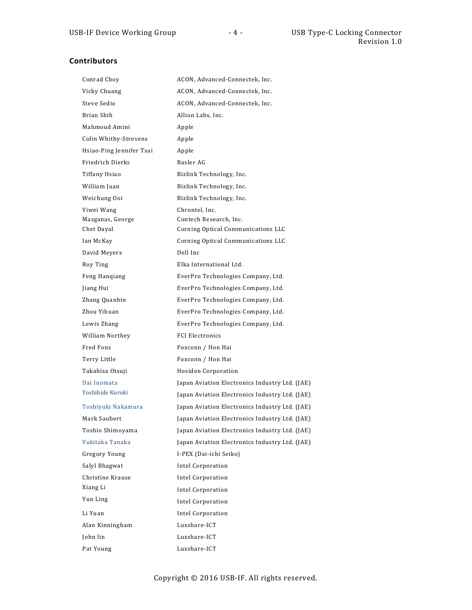# **Contributors**

| Conrad Choy              | ACON, Advanced-Connectek, Inc.                 |
|--------------------------|------------------------------------------------|
| Vicky Chuang             | ACON, Advanced-Connectek, Inc.                 |
| Steve Sedio              | ACON, Advanced-Connectek, Inc.                 |
| Brian Shih               | Allion Labs, Inc.                              |
| Mahmoud Amini            | Apple                                          |
| Colin Whitby-Strevens    | Apple                                          |
| Hsiao-Ping Jennifer Tsai | Apple                                          |
| Friedrich Dierks         | Basler AG                                      |
| Tiffany Hsiao            | Bizlink Technology, Inc.                       |
| William Juan             | Bizlink Technology, Inc.                       |
| Weichung Ooi             | Bizlink Technology, Inc.                       |
| Yiwei Wang               | Chrontel, Inc.                                 |
| Masganas, George         | Contech Research, Inc.                         |
| Chet Dayal               | Corning Optical Communications LLC             |
| Ian McKay                | Corning Optical Communications LLC             |
| David Meyers             | Dell Inc                                       |
| Roy Ting                 | Elka International Ltd.                        |
| Feng Hangiang            | EverPro Technologies Company, Ltd.             |
| Jiang Hui                | EverPro Technologies Company, Ltd.             |
| Zhang Quanbin            | EverPro Technologies Company, Ltd.             |
| Zhou Yihuan              | EverPro Technologies Company, Ltd.             |
| Lewis Zhang              | EverPro Technologies Company, Ltd.             |
| William Northey          | <b>FCI Electronics</b>                         |
| Fred Fons                | Foxconn / Hon Hai                              |
| Terry Little             | Foxconn / Hon Hai                              |
| Takahisa Otsuji          | Hosiden Corporation                            |
| Dai Inomata              | Japan Aviation Electronics Industry Ltd. (JAE) |
| Yoshihide Kuroki         | Japan Aviation Electronics Industry Ltd. (JAE) |
| Toshiyuki Nakamura       | Japan Aviation Electronics Industry Ltd. (JAE) |
| Mark Saubert             | Japan Aviation Electronics Industry Ltd. (JAE) |
| Toshio Shimoyama         | Japan Aviation Electronics Industry Ltd. (JAE) |
| Yukitaka Tanaka          | Japan Aviation Electronics Industry Ltd. (JAE) |
| Gregory Young            | I-PEX (Dai-ichi Seiko)                         |
| Salyl Bhagwat            | Intel Corporation                              |
| Christine Krause         | <b>Intel Corporation</b>                       |
| Xiang Li                 | <b>Intel Corporation</b>                       |
| Yun Ling                 | Intel Corporation                              |
| Li Yuan                  | <b>Intel Corporation</b>                       |
| Alan Kinningham          | Luxshare-ICT                                   |
| John lin                 | Luxshare-ICT                                   |
| Pat Young                | Luxshare-ICT                                   |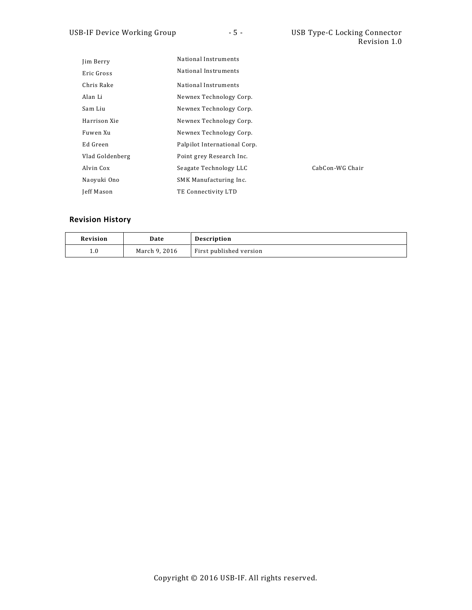| Jim Berry       | National Instruments         |                 |
|-----------------|------------------------------|-----------------|
| Eric Gross      | National Instruments         |                 |
| Chris Rake      | National Instruments         |                 |
| Alan Li         | Newnex Technology Corp.      |                 |
| Sam Liu         | Newnex Technology Corp.      |                 |
| Harrison Xie    | Newnex Technology Corp.      |                 |
| Fuwen Xu        | Newnex Technology Corp.      |                 |
| Ed Green        | Palpilot International Corp. |                 |
| Vlad Goldenberg | Point grey Research Inc.     |                 |
| Alvin Cox       | Seagate Technology LLC       | CabCon-WG Chair |
| Naoyuki Ono     | SMK Manufacturing Inc.       |                 |
| Jeff Mason      | TE Connectivity LTD          |                 |

# **Revision History**

| Revision | Date          | <b>Description</b>      |
|----------|---------------|-------------------------|
| 1.0      | March 9, 2016 | First published version |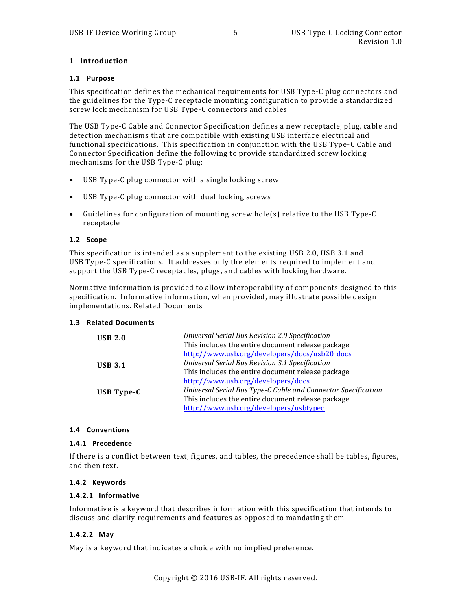## <span id="page-5-0"></span>**1 Introduction**

#### **1.1 Purpose**

This specification defines the mechanical requirements for USB Type-C plug connectors and the guidelines for the Type-C receptacle mounting configuration to provide a standardized screw lock mechanism for USB Type-C connectors and cables.

The USB Type-C Cable and Connector Specification defines a new receptacle, plug, cable and detection mechanisms that are compatible with existing USB interface electrical and functional specifications. This specification in conjunction with the USB Type-C Cable and Connector Specification define the following to provide standardized screw locking mechanisms for the USB Type-C plug:

- USB Type-C plug connector with a single locking screw
- USB Type-C plug connector with dual locking screws
- Guidelines for configuration of mounting screw hole(s) relative to the USB Type-C receptacle

#### **1.2 Scope**

This specification is intended as a supplement to the existing USB 2.0, USB 3.1 and USB Type-C specifications. It addresses only the elements required to implement and support the USB Type-C receptacles, plugs, and cables with locking hardware.

Normative information is provided to allow interoperability of components designed to this specification. Informative information, when provided, may illustrate possible design implementations. Related Documents

## **1.3 Related Documents**

| <b>USB 2.0</b> | Universal Serial Bus Revision 2.0 Specification               |
|----------------|---------------------------------------------------------------|
|                | This includes the entire document release package.            |
|                | http://www.usb.org/developers/docs/usb20_docs                 |
| <b>USB 3.1</b> | Universal Serial Bus Revision 3.1 Specification               |
|                | This includes the entire document release package.            |
|                | http://www.usb.org/developers/docs                            |
| USB Type-C     | Universal Serial Bus Type-C Cable and Connector Specification |
|                | This includes the entire document release package.            |
|                | http://www.usb.org/developers/usbtypec                        |
|                |                                                               |

## **1.4 Conventions**

#### **1.4.1 Precedence**

If there is a conflict between text, figures, and tables, the precedence shall be tables, figures, and then text.

#### **1.4.2 Keywords**

#### **1.4.2.1 Informative**

Informative is a keyword that describes information with this specification that intends to discuss and clarify requirements and features as opposed to mandating them.

## **1.4.2.2 May**

May is a keyword that indicates a choice with no implied preference.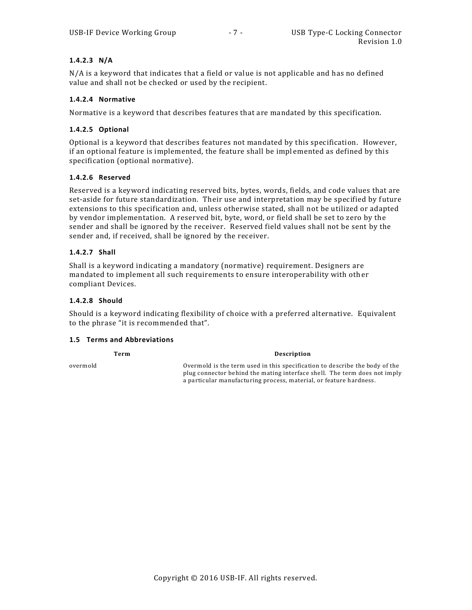## **1.4.2.3 N/A**

N/A is a keyword that indicates that a field or value is not applicable and has no defined value and shall not be checked or used by the recipient.

#### **1.4.2.4 Normative**

Normative is a keyword that describes features that are mandated by this specification.

#### **1.4.2.5 Optional**

Optional is a keyword that describes features not mandated by this specification. However, if an optional feature is implemented, the feature shall be implemented as defined by this specification (optional normative).

#### **1.4.2.6 Reserved**

Reserved is a keyword indicating reserved bits, bytes, words, fields, and code values that are set-aside for future standardization. Their use and interpretation may be specified by future extensions to this specification and, unless otherwise stated, shall not be utilized or adapted by vendor implementation. A reserved bit, byte, word, or field shall be set to zero by the sender and shall be ignored by the receiver. Reserved field values shall not be sent by the sender and, if received, shall be ignored by the receiver.

#### **1.4.2.7 Shall**

Shall is a keyword indicating a mandatory (normative) requirement. Designers are mandated to implement all such requirements to ensure interoperability with oth er compliant Devices.

#### **1.4.2.8 Should**

Should is a keyword indicating flexibility of choice with a preferred alternative. Equivalent to the phrase "it is recommended that".

#### **1.5 Terms and Abbreviations**

**Term Description** overmold Overmold is the term used in this specification to describe the body of the plug connector behind the mating interface shell. The term does not imply a particular manufacturing process, material, or feature hardness.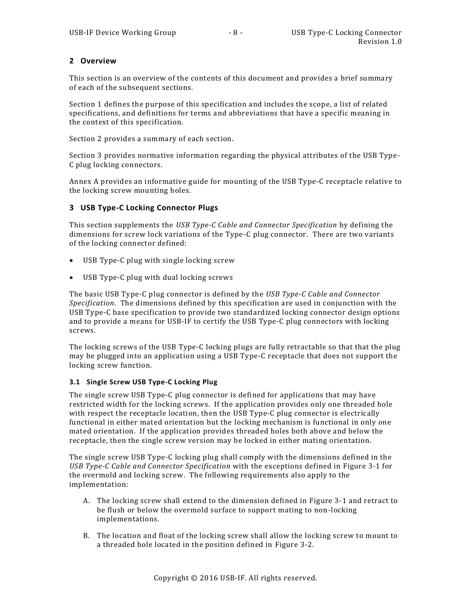## <span id="page-7-0"></span>**2 Overview**

This section is an overview of the contents of this document and provides a brief summary of each of the subsequent sections.

Section [1](#page-5-0) defines the purpose of this specification and includes the scope, a list of related specifications, and definitions for terms and abbreviations that have a specific meaning in the context of this specification.

Section [2](#page-7-0) provides a summary of each section.

Section [3](#page-7-1) provides normative information regarding the physical attributes of the USB Type - C plug locking connectors.

[Annex](#page-11-1) A provides an informative guide for mounting of the USB Type-C receptacle relative to the locking screw mounting holes.

## <span id="page-7-1"></span>**3 USB Type-C Locking Connector Plugs**

This section supplements the *USB Type-C Cable and Connector Specification* by defining the dimensions for screw lock variations of the Type-C plug connector. There are two variants of the locking connector defined:

- USB Type-C plug with single locking screw
- USB Type-C plug with dual locking screws

The basic USB Type-C plug connector is defined by the *USB Type-C Cable and Connector Specification*. The dimensions defined by this specification are used in conjunction with the USB Type-C base specification to provide two standardized locking connector design options and to provide a means for USB-IF to certify the USB Type-C plug connectors with locking screws.

The locking screws of the USB Type-C locking plugs are fully retractable so that that the plug may be plugged into an application using a USB Type-C receptacle that does not support the locking screw function.

## **3.1 Single Screw USB Type-C Locking Plug**

The single screw USB Type-C plug connector is defined for applications that may have restricted width for the locking screws. If the application provides only one threaded hole with respect the receptacle location, then the USB Type-C plug connector is electrically functional in either mated orientation but the locking mechanism is functional in only one mated orientation. If the application provides threaded holes both above and below the receptacle, then the single screw version may be locked in either mating orientation.

The single screw USB Type-C locking plug shall comply with the dimensions defined in the *USB Type-C Cable and Connector Specification* with the exceptions defined in [Figure 3-1](#page-8-0) for the overmold and locking screw. The following requirements also apply to the implementation:

- A. The locking screw shall extend to the dimension defined in [Figure 3-1](#page-8-0) and retract to be flush or below the overmold surface to support mating to non-locking implementations.
- B. The location and float of the locking screw shall allow the locking screw to mount to a threaded hole located in the position defined in [Figure 3-2.](#page-8-1)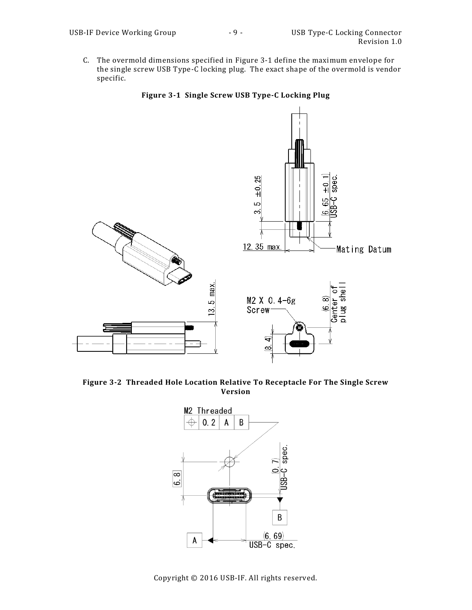C. The overmold dimensions specified in [Figure 3-1](#page-8-0) define the maximum envelope for the single screw USB Type-C locking plug. The exact shape of the overmold is vendor specific.



<span id="page-8-0"></span>

<span id="page-8-1"></span>**Figure 3-2 Threaded Hole Location Relative To Receptacle For The Single Screw Version**

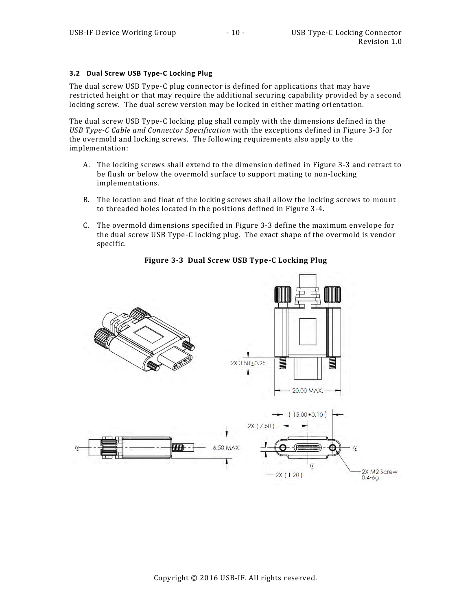#### **3.2 Dual Screw USB Type-C Locking Plug**

The dual screw USB Type-C plug connector is defined for applications that may have restricted height or that may require the additional securing capability provided by a second locking screw. The dual screw version may be locked in either mating orientation.

The dual screw USB Type-C locking plug shall comply with the dimensions defined in the *USB Type-C Cable and Connector Specification* with the exceptions defined in [Figure 3-3](#page-9-0) for the overmold and locking screws. The following requirements also apply to the implementation:

- A. The locking screws shall extend to the dimension defined in [Figure 3-3](#page-9-0) and retract to be flush or below the overmold surface to support mating to non-locking implementations.
- B. The location and float of the locking screws shall allow the locking screws to mount to threaded holes located in the positions defined in [Figure 3-4.](#page-10-0)
- C. The overmold dimensions specified in [Figure 3-3](#page-9-0) define the maximum envelope for the dual screw USB Type-C locking plug. The exact shape of the overmold is vendor specific.

<span id="page-9-0"></span>

**Figure 3-3 Dual Screw USB Type-C Locking Plug**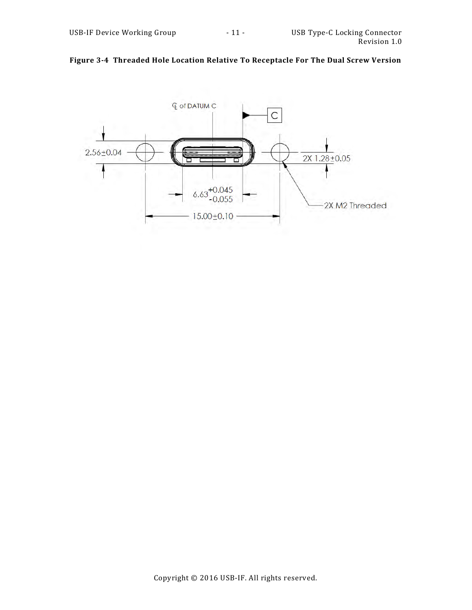

# <span id="page-10-0"></span>**Figure 3-4 Threaded Hole Location Relative To Receptacle For The Dual Screw Version**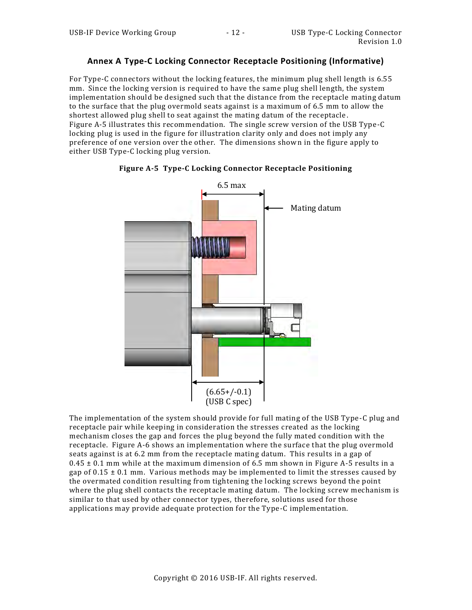## <span id="page-11-1"></span>**Annex A Type-C Locking Connector Receptacle Positioning (Informative)**

For Type-C connectors without the locking features, the minimum plug shell length is 6.55 mm. Since the locking version is required to have the same plug shell length, the system implementation should be designed such that the distance from the receptacle mating datum to the surface that the plug overmold seats against is a maximum of 6.5 mm to allow the shortest allowed plug shell to seat against the mating datum of the receptacle . [Figure A-5](#page-11-0) illustrates this recommendation. The single screw version of the USB Type-C locking plug is used in the figure for illustration clarity only and does not imply any preference of one version over the other. The dimensions shown in the figure apply to either USB Type-C locking plug version.

<span id="page-11-0"></span>



The implementation of the system should provide for full mating of the USB Type -C plug and receptacle pair while keeping in consideration the stresses created as the locking mechanism closes the gap and forces the plug beyond the fully mated condition with the receptacle. [Figure](#page-12-0) A-6 shows an implementation where the surface that the plug overmold seats against is at 6.2 mm from the receptacle mating datum. This results in a gap of  $0.45 \pm 0.1$  mm while at the maximum dimension of 6.5 mm shown in [Figure A-5](#page-11-0) results in a gap of  $0.15 \pm 0.1$  mm. Various methods may be implemented to limit the stresses caused by the overmated condition resulting from tightening the locking screws beyond the point where the plug shell contacts the receptacle mating datum. The locking screw mechanism is similar to that used by other connector types, therefore, solutions used for those applications may provide adequate protection for the Type-C implementation.